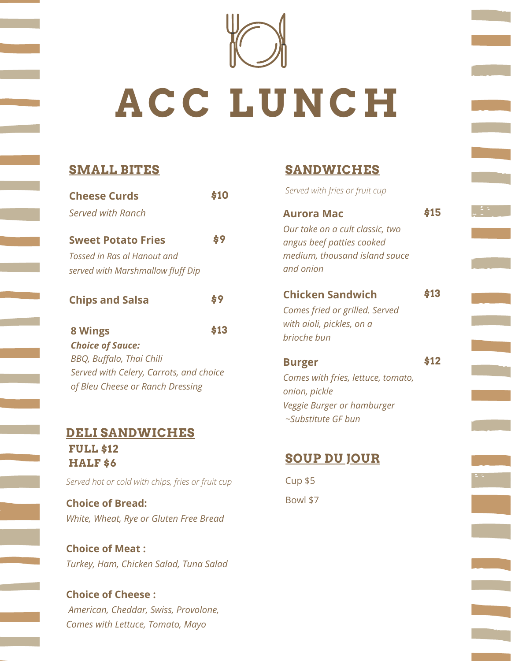

# **ACC LUNCH**

# **SMALL BITES**

| <b>Cheese Curds</b>                     | \$10 |
|-----------------------------------------|------|
| <b>Served with Ranch</b>                |      |
| <b>Sweet Potato Fries</b>               | \$9  |
| Tossed in Ras al Hanout and             |      |
| served with Marshmallow fluff Dip       |      |
| <b>Chips and Salsa</b>                  | \$9  |
| 8 Wings                                 | \$13 |
| <b>Choice of Sauce:</b>                 |      |
| BBQ, Buffalo, Thai Chili                |      |
| Served with Celery, Carrots, and choice |      |
| of Bleu Cheese or Ranch Dressing        |      |
|                                         |      |

## **DELI SANDWICHES FULL \$12 HALF \$6**

*Served hot or cold with chips, fries or fruit cup*

**Choice of Bread:** *White, Wheat, Rye or Gluten Free Bread*

**Choice of Meat :** *Turkey, Ham, Chicken Salad, Tuna Salad*

**Choice of Cheese :** *American, Cheddar, Swiss, Provolone, Comes with Lettuce, Tomato, Mayo*

# **SANDWICHES**

*Served with fries or fruit cup* **\$10**

| Aurora Mac                                                                                                               | s15  |
|--------------------------------------------------------------------------------------------------------------------------|------|
| Our take on a cult classic, two<br>angus beef patties cooked<br>medium, thousand island sauce<br>and onion               |      |
| <b>Chicken Sandwich</b><br>Comes fried or grilled. Served<br>with aioli, pickles, on a<br>brioche bun                    | \$13 |
| <b>Burger</b><br>Comes with fries, lettuce, tomato,<br>onion, pickle<br>Veggie Burger or hamburger<br>~Substitute GF bun | \$12 |

# **SOUP DU JOUR**

Cup \$5 Bowl \$7